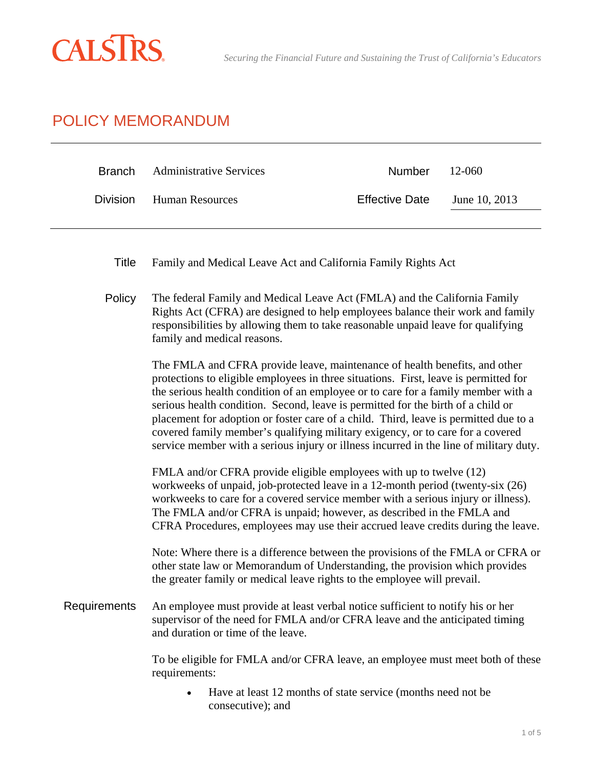

l,

## POLICY MEMORANDUM

| <b>Branch</b>   | <b>Administrative Services</b>                                                                                                                                                                                                                                                 | Number                                                                                                                                                                                                                                                                                                                                                                                                                                                                                                                                                                                                                                                                                                                                                                                                                                                                                                                                                                                                                    | 12-060        |  |
|-----------------|--------------------------------------------------------------------------------------------------------------------------------------------------------------------------------------------------------------------------------------------------------------------------------|---------------------------------------------------------------------------------------------------------------------------------------------------------------------------------------------------------------------------------------------------------------------------------------------------------------------------------------------------------------------------------------------------------------------------------------------------------------------------------------------------------------------------------------------------------------------------------------------------------------------------------------------------------------------------------------------------------------------------------------------------------------------------------------------------------------------------------------------------------------------------------------------------------------------------------------------------------------------------------------------------------------------------|---------------|--|
| <b>Division</b> | <b>Human Resources</b>                                                                                                                                                                                                                                                         | <b>Effective Date</b>                                                                                                                                                                                                                                                                                                                                                                                                                                                                                                                                                                                                                                                                                                                                                                                                                                                                                                                                                                                                     | June 10, 2013 |  |
| <b>Title</b>    | Family and Medical Leave Act and California Family Rights Act                                                                                                                                                                                                                  |                                                                                                                                                                                                                                                                                                                                                                                                                                                                                                                                                                                                                                                                                                                                                                                                                                                                                                                                                                                                                           |               |  |
| Policy          | The federal Family and Medical Leave Act (FMLA) and the California Family<br>Rights Act (CFRA) are designed to help employees balance their work and family<br>responsibilities by allowing them to take reasonable unpaid leave for qualifying<br>family and medical reasons. |                                                                                                                                                                                                                                                                                                                                                                                                                                                                                                                                                                                                                                                                                                                                                                                                                                                                                                                                                                                                                           |               |  |
|                 |                                                                                                                                                                                                                                                                                | The FMLA and CFRA provide leave, maintenance of health benefits, and other<br>protections to eligible employees in three situations. First, leave is permitted for<br>the serious health condition of an employee or to care for a family member with a<br>serious health condition. Second, leave is permitted for the birth of a child or<br>placement for adoption or foster care of a child. Third, leave is permitted due to a<br>covered family member's qualifying military exigency, or to care for a covered<br>service member with a serious injury or illness incurred in the line of military duty.<br>FMLA and/or CFRA provide eligible employees with up to twelve (12)<br>workweeks of unpaid, job-protected leave in a 12-month period (twenty-six (26)<br>workweeks to care for a covered service member with a serious injury or illness).<br>The FMLA and/or CFRA is unpaid; however, as described in the FMLA and<br>CFRA Procedures, employees may use their accrued leave credits during the leave. |               |  |
|                 |                                                                                                                                                                                                                                                                                |                                                                                                                                                                                                                                                                                                                                                                                                                                                                                                                                                                                                                                                                                                                                                                                                                                                                                                                                                                                                                           |               |  |
|                 | Note: Where there is a difference between the provisions of the FMLA or CFRA or<br>other state law or Memorandum of Understanding, the provision which provides<br>the greater family or medical leave rights to the employee will prevail.                                    |                                                                                                                                                                                                                                                                                                                                                                                                                                                                                                                                                                                                                                                                                                                                                                                                                                                                                                                                                                                                                           |               |  |
| Requirements    | An employee must provide at least verbal notice sufficient to notify his or her<br>supervisor of the need for FMLA and/or CFRA leave and the anticipated timing<br>and duration or time of the leave.                                                                          |                                                                                                                                                                                                                                                                                                                                                                                                                                                                                                                                                                                                                                                                                                                                                                                                                                                                                                                                                                                                                           |               |  |
|                 | To be eligible for FMLA and/or CFRA leave, an employee must meet both of these<br>requirements:                                                                                                                                                                                |                                                                                                                                                                                                                                                                                                                                                                                                                                                                                                                                                                                                                                                                                                                                                                                                                                                                                                                                                                                                                           |               |  |
|                 | Have at least 12 months of state service (months need not be<br>consecutive); and                                                                                                                                                                                              |                                                                                                                                                                                                                                                                                                                                                                                                                                                                                                                                                                                                                                                                                                                                                                                                                                                                                                                                                                                                                           |               |  |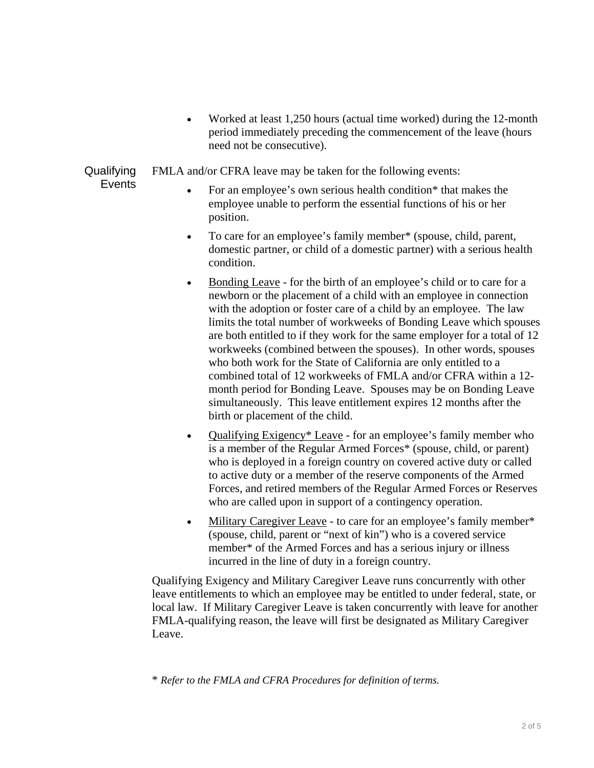• Worked at least 1,250 hours (actual time worked) during the 12-month period immediately preceding the commencement of the leave (hours need not be consecutive).

**Qualifying** FMLA and/or CFRA leave may be taken for the following events:

- **Events**
- For an employee's own serious health condition\* that makes the employee unable to perform the essential functions of his or her position.
- To care for an employee's family member\* (spouse, child, parent, domestic partner, or child of a domestic partner) with a serious health condition.
- Bonding Leave for the birth of an employee's child or to care for a newborn or the placement of a child with an employee in connection with the adoption or foster care of a child by an employee. The law limits the total number of workweeks of Bonding Leave which spouses are both entitled to if they work for the same employer for a total of 12 workweeks (combined between the spouses). In other words, spouses who both work for the State of California are only entitled to a combined total of 12 workweeks of FMLA and/or CFRA within a 12 month period for Bonding Leave. Spouses may be on Bonding Leave simultaneously. This leave entitlement expires 12 months after the birth or placement of the child.
- Qualifying Exigency\* Leave for an employee's family member who is a member of the Regular Armed Forces\* (spouse, child, or parent) who is deployed in a foreign country on covered active duty or called to active duty or a member of the reserve components of the Armed Forces, and retired members of the Regular Armed Forces or Reserves who are called upon in support of a contingency operation.
- Military Caregiver Leave to care for an employee's family member\* (spouse, child, parent or "next of kin") who is a covered service member\* of the Armed Forces and has a serious injury or illness incurred in the line of duty in a foreign country.

Qualifying Exigency and Military Caregiver Leave runs concurrently with other leave entitlements to which an employee may be entitled to under federal, state, or local law. If Military Caregiver Leave is taken concurrently with leave for another FMLA-qualifying reason, the leave will first be designated as Military Caregiver Leave.

\* *Refer to the FMLA and CFRA Procedures for definition of terms.*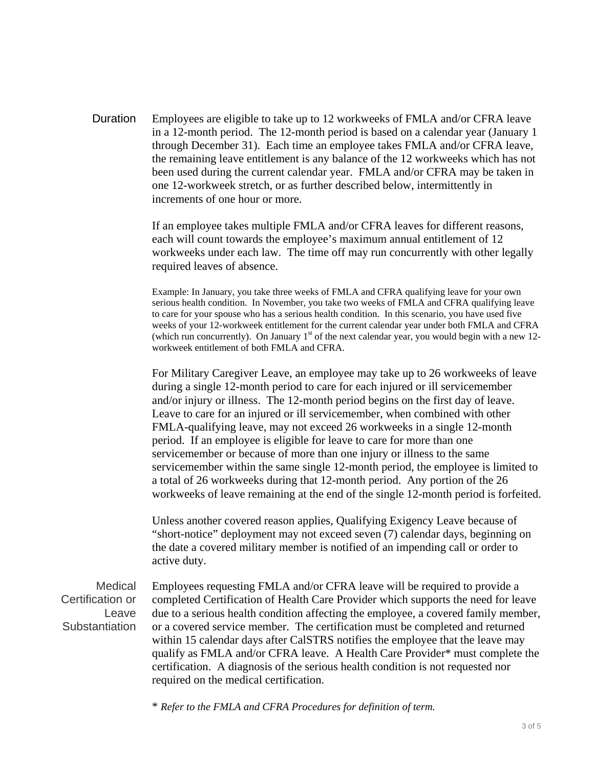Duration Employees are eligible to take up to 12 workweeks of FMLA and/or CFRA leave in a 12-month period. The 12-month period is based on a calendar year (January 1 through December 31). Each time an employee takes FMLA and/or CFRA leave, the remaining leave entitlement is any balance of the 12 workweeks which has not been used during the current calendar year. FMLA and/or CFRA may be taken in one 12-workweek stretch, or as further described below, intermittently in increments of one hour or more.

> If an employee takes multiple FMLA and/or CFRA leaves for different reasons, each will count towards the employee's maximum annual entitlement of 12 workweeks under each law. The time off may run concurrently with other legally required leaves of absence.

Example: In January, you take three weeks of FMLA and CFRA qualifying leave for your own serious health condition. In November, you take two weeks of FMLA and CFRA qualifying leave to care for your spouse who has a serious health condition. In this scenario, you have used five weeks of your 12-workweek entitlement for the current calendar year under both FMLA and CFRA (which run concurrently). On January  $1<sup>st</sup>$  of the next calendar year, you would begin with a new 12workweek entitlement of both FMLA and CFRA.

For Military Caregiver Leave, an employee may take up to 26 workweeks of leave during a single 12-month period to care for each injured or ill servicemember and/or injury or illness. The 12-month period begins on the first day of leave. Leave to care for an injured or ill servicemember, when combined with other FMLA-qualifying leave, may not exceed 26 workweeks in a single 12-month period. If an employee is eligible for leave to care for more than one servicemember or because of more than one injury or illness to the same servicemember within the same single 12-month period, the employee is limited to a total of 26 workweeks during that 12-month period. Any portion of the 26 workweeks of leave remaining at the end of the single 12-month period is forfeited.

Unless another covered reason applies, Qualifying Exigency Leave because of "short-notice" deployment may not exceed seven (7) calendar days, beginning on the date a covered military member is notified of an impending call or order to active duty.

Medical Certification or Leave **Substantiation** 

Employees requesting FMLA and/or CFRA leave will be required to provide a completed Certification of Health Care Provider which supports the need for leave due to a serious health condition affecting the employee, a covered family member, or a covered service member. The certification must be completed and returned within 15 calendar days after CalSTRS notifies the employee that the leave may qualify as FMLA and/or CFRA leave. A Health Care Provider\* must complete the certification. A diagnosis of the serious health condition is not requested nor required on the medical certification.

\* *Refer to the FMLA and CFRA Procedures for definition of term.*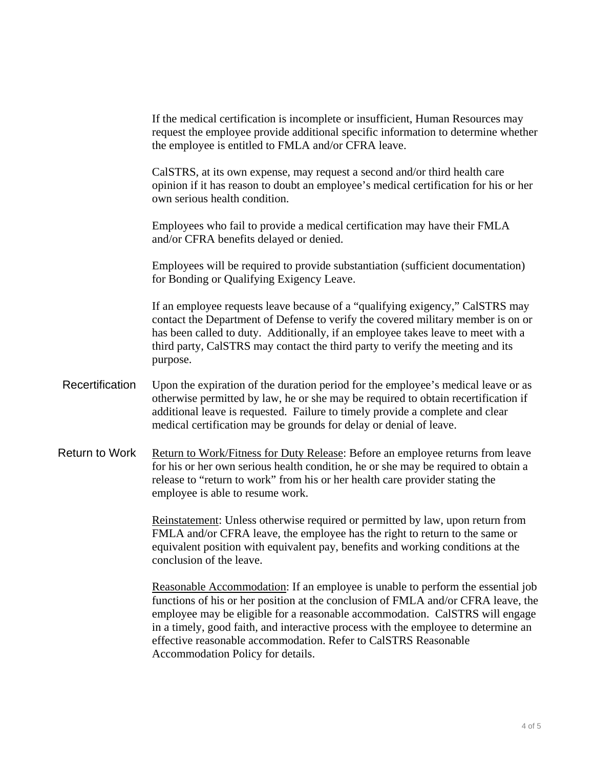If the medical certification is incomplete or insufficient, Human Resources may request the employee provide additional specific information to determine whether the employee is entitled to FMLA and/or CFRA leave.

CalSTRS, at its own expense, may request a second and/or third health care opinion if it has reason to doubt an employee's medical certification for his or her own serious health condition.

Employees who fail to provide a medical certification may have their FMLA and/or CFRA benefits delayed or denied.

Employees will be required to provide substantiation (sufficient documentation) for Bonding or Qualifying Exigency Leave.

If an employee requests leave because of a "qualifying exigency," CalSTRS may contact the Department of Defense to verify the covered military member is on or has been called to duty. Additionally, if an employee takes leave to meet with a third party, CalSTRS may contact the third party to verify the meeting and its purpose.

- Recertification Upon the expiration of the duration period for the employee's medical leave or as otherwise permitted by law, he or she may be required to obtain recertification if additional leave is requested. Failure to timely provide a complete and clear medical certification may be grounds for delay or denial of leave.
- Return to Work Return to Work/Fitness for Duty Release: Before an employee returns from leave for his or her own serious health condition, he or she may be required to obtain a release to "return to work" from his or her health care provider stating the employee is able to resume work.

Reinstatement: Unless otherwise required or permitted by law, upon return from FMLA and/or CFRA leave, the employee has the right to return to the same or equivalent position with equivalent pay, benefits and working conditions at the conclusion of the leave.

Reasonable Accommodation: If an employee is unable to perform the essential job functions of his or her position at the conclusion of FMLA and/or CFRA leave, the employee may be eligible for a reasonable accommodation. CalSTRS will engage in a timely, good faith, and interactive process with the employee to determine an effective reasonable accommodation. Refer to CalSTRS Reasonable Accommodation Policy for details.